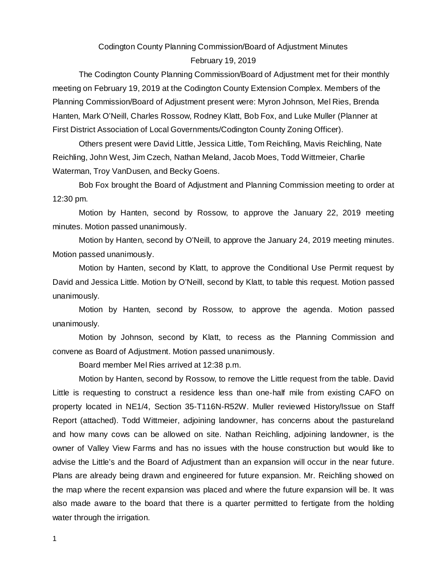# Codington County Planning Commission/Board of Adjustment Minutes February 19, 2019

The Codington County Planning Commission/Board of Adjustment met for their monthly meeting on February 19, 2019 at the Codington County Extension Complex. Members of the Planning Commission/Board of Adjustment present were: Myron Johnson, Mel Ries, Brenda Hanten, Mark O'Neill, Charles Rossow, Rodney Klatt, Bob Fox, and Luke Muller (Planner at First District Association of Local Governments/Codington County Zoning Officer).

Others present were David Little, Jessica Little, Tom Reichling, Mavis Reichling, Nate Reichling, John West, Jim Czech, Nathan Meland, Jacob Moes, Todd Wittmeier, Charlie Waterman, Troy VanDusen, and Becky Goens.

Bob Fox brought the Board of Adjustment and Planning Commission meeting to order at 12:30 pm.

Motion by Hanten, second by Rossow, to approve the January 22, 2019 meeting minutes. Motion passed unanimously.

Motion by Hanten, second by O'Neill, to approve the January 24, 2019 meeting minutes. Motion passed unanimously.

Motion by Hanten, second by Klatt, to approve the Conditional Use Permit request by David and Jessica Little. Motion by O'Neill, second by Klatt, to table this request. Motion passed unanimously.

Motion by Hanten, second by Rossow, to approve the agenda. Motion passed unanimously.

Motion by Johnson, second by Klatt, to recess as the Planning Commission and convene as Board of Adjustment. Motion passed unanimously.

Board member Mel Ries arrived at 12:38 p.m.

Motion by Hanten, second by Rossow, to remove the Little request from the table. David Little is requesting to construct a residence less than one-half mile from existing CAFO on property located in NE1/4, Section 35-T116N-R52W. Muller reviewed History/Issue on Staff Report (attached). Todd Wittmeier, adjoining landowner, has concerns about the pastureland and how many cows can be allowed on site. Nathan Reichling, adjoining landowner, is the owner of Valley View Farms and has no issues with the house construction but would like to advise the Little's and the Board of Adjustment than an expansion will occur in the near future. Plans are already being drawn and engineered for future expansion. Mr. Reichling showed on the map where the recent expansion was placed and where the future expansion will be. It was also made aware to the board that there is a quarter permitted to fertigate from the holding water through the irrigation.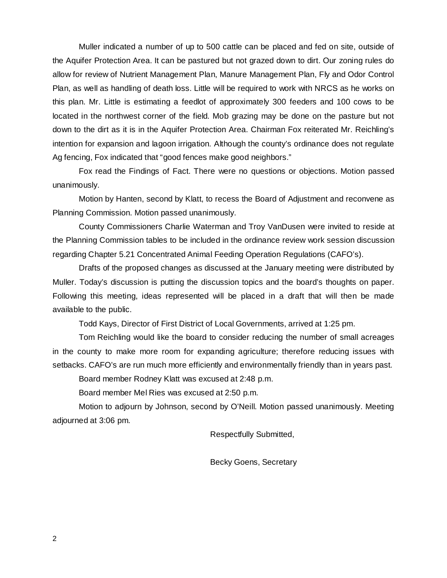Muller indicated a number of up to 500 cattle can be placed and fed on site, outside of the Aquifer Protection Area. It can be pastured but not grazed down to dirt. Our zoning rules do allow for review of Nutrient Management Plan, Manure Management Plan, Fly and Odor Control Plan, as well as handling of death loss. Little will be required to work with NRCS as he works on this plan. Mr. Little is estimating a feedlot of approximately 300 feeders and 100 cows to be located in the northwest corner of the field. Mob grazing may be done on the pasture but not down to the dirt as it is in the Aquifer Protection Area. Chairman Fox reiterated Mr. Reichling's intention for expansion and lagoon irrigation. Although the county's ordinance does not regulate Ag fencing, Fox indicated that "good fences make good neighbors."

Fox read the Findings of Fact. There were no questions or objections. Motion passed unanimously.

Motion by Hanten, second by Klatt, to recess the Board of Adjustment and reconvene as Planning Commission. Motion passed unanimously.

County Commissioners Charlie Waterman and Troy VanDusen were invited to reside at the Planning Commission tables to be included in the ordinance review work session discussion regarding Chapter 5.21 Concentrated Animal Feeding Operation Regulations (CAFO's).

Drafts of the proposed changes as discussed at the January meeting were distributed by Muller. Today's discussion is putting the discussion topics and the board's thoughts on paper. Following this meeting, ideas represented will be placed in a draft that will then be made available to the public.

Todd Kays, Director of First District of Local Governments, arrived at 1:25 pm.

Tom Reichling would like the board to consider reducing the number of small acreages in the county to make more room for expanding agriculture; therefore reducing issues with setbacks. CAFO's are run much more efficiently and environmentally friendly than in years past.

Board member Rodney Klatt was excused at 2:48 p.m.

Board member Mel Ries was excused at 2:50 p.m.

Motion to adjourn by Johnson, second by O'Neill. Motion passed unanimously. Meeting adjourned at 3:06 pm.

Respectfully Submitted,

Becky Goens, Secretary